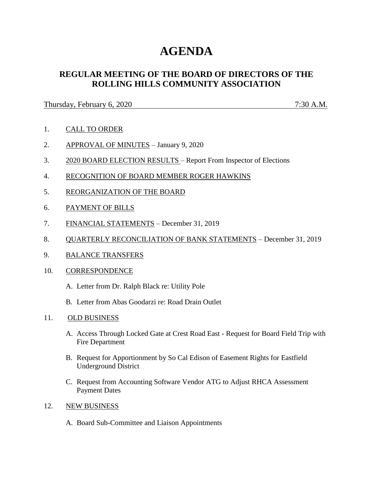# **AGENDA**

# **REGULAR MEETING OF THE BOARD OF DIRECTORS OF THE ROLLING HILLS COMMUNITY ASSOCIATION**

Thursday, February 6, 2020 7:30 A.M.

- 1. CALL TO ORDER
- 2. APPROVAL OF MINUTES January 9, 2020
- 3. 2020 BOARD ELECTION RESULTS Report From Inspector of Elections
- 4. RECOGNITION OF BOARD MEMBER ROGER HAWKINS
- 5. REORGANIZATION OF THE BOARD
- 6. PAYMENT OF BILLS
- 7. FINANCIAL STATEMENTS December 31, 2019
- 8. QUARTERLY RECONCILIATION OF BANK STATEMENTS December 31, 2019
- 9. BALANCE TRANSFERS
- 10. CORRESPONDENCE
	- A. Letter from Dr. Ralph Black re: Utility Pole
	- B. Letter from Abas Goodarzi re: Road Drain Outlet
- 11. OLD BUSINESS
	- A. Access Through Locked Gate at Crest Road East Request for Board Field Trip with Fire Department
	- B. Request for Apportionment by So Cal Edison of Easement Rights for Eastfield Underground District
	- C. Request from Accounting Software Vendor ATG to Adjust RHCA Assessment Payment Dates
- 12. NEW BUSINESS
	- A. Board Sub-Committee and Liaison Appointments